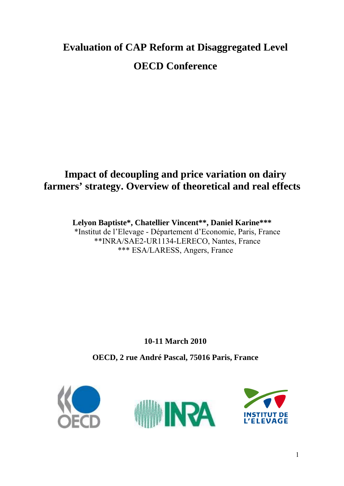# **Evaluation of CAP Reform at Disaggregated Level OECD Conference**

# **Impact of decoupling and price variation on dairy farmers' strategy. Overview of theoretical and real effects**

**Lelyon Baptiste\*, Chatellier Vincent\*\*, Daniel Karine\*\*\***  \*Institut de l'Elevage - Département d'Economie, Paris, France \*\*INRA/SAE2-UR1134-LERECO, Nantes, France \*\*\* ESA/LARESS, Angers, France

**10-11 March 2010** 

**OECD, 2 rue André Pascal, 75016 Paris, France** 

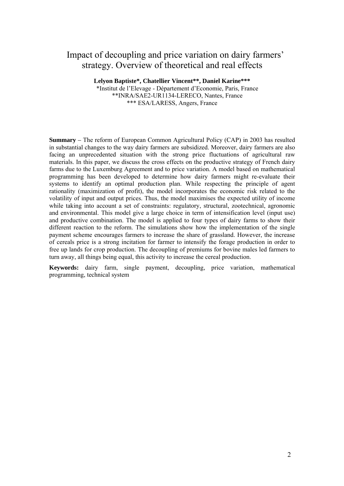### Impact of decoupling and price variation on dairy farmers' strategy. Overview of theoretical and real effects

**Lelyon Baptiste\*, Chatellier Vincent\*\*, Daniel Karine\*\*\***  \*Institut de l'Elevage - Département d'Economie, Paris, France \*\*INRA/SAE2-UR1134-LERECO, Nantes, France \*\*\* ESA/LARESS, Angers, France

**Summary** *–* The reform of European Common Agricultural Policy (CAP) in 2003 has resulted in substantial changes to the way dairy farmers are subsidized. Moreover, dairy farmers are also facing an unprecedented situation with the strong price fluctuations of agricultural raw materials. In this paper, we discuss the cross effects on the productive strategy of French dairy farms due to the Luxemburg Agreement and to price variation. A model based on mathematical programming has been developed to determine how dairy farmers might re-evaluate their systems to identify an optimal production plan. While respecting the principle of agent rationality (maximization of profit), the model incorporates the economic risk related to the volatility of input and output prices. Thus, the model maximises the expected utility of income while taking into account a set of constraints: regulatory, structural, zootechnical, agronomic and environmental. This model give a large choice in term of intensification level (input use) and productive combination. The model is applied to four types of dairy farms to show their different reaction to the reform. The simulations show how the implementation of the single payment scheme encourages farmers to increase the share of grassland. However, the increase of cereals price is a strong incitation for farmer to intensify the forage production in order to free up lands for crop production. The decoupling of premiums for bovine males led farmers to turn away, all things being equal, this activity to increase the cereal production.

**Keywords:** dairy farm, single payment, decoupling, price variation, mathematical programming, technical system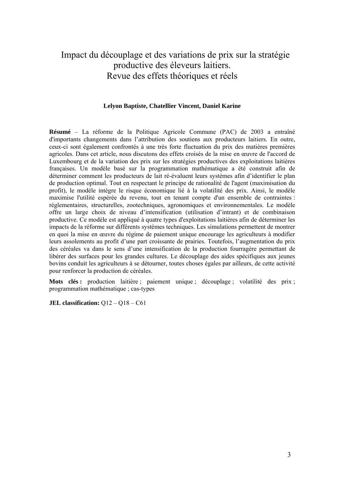## Impact du découplage et des variations de prix sur la stratégie productive des éleveurs laitiers. Revue des effets théoriques et réels

#### **Lelyon Baptiste, Chatellier Vincent, Daniel Karine**

**Résumé** – La réforme de la Politique Agricole Commune (PAC) de 2003 a entraîné d'importants changements dans l'attribution des soutiens aux producteurs laitiers. En outre, ceux-ci sont également confrontés à une très forte fluctuation du prix des matières premières agricoles. Dans cet article, nous discutons des effets croisés de la mise en œuvre de l'accord de Luxembourg et de la variation des prix sur les stratégies productives des exploitations laitières françaises. Un modèle basé sur la programmation mathématique a été construit afin de déterminer comment les producteurs de lait ré-évaluent leurs systèmes afin d'identifier le plan de production optimal. Tout en respectant le principe de rationalité de l'agent (maximisation du profit), le modèle intègre le risque économique lié à la volatilité des prix. Ainsi, le modèle maximise l'utilité espérée du revenu, tout en tenant compte d'un ensemble de contraintes : réglementaires, structurelles, zootechniques, agronomiques et environnementales. Le modèle offre un large choix de niveau d'intensification (utilisation d'intrant) et de combinaison productive. Ce modèle est appliqué à quatre types d'exploitations laitières afin de déterminer les impacts de la réforme sur différents systèmes techniques. Les simulations permettent de montrer en quoi la mise en œuvre du régime de paiement unique encourage les agriculteurs à modifier leurs assolements au profit d'une part croissante de prairies. Toutefois, l'augmentation du prix des céréales va dans le sens d'une intensification de la production fourragère permettant de libérer des surfaces pour les grandes cultures. Le découplage des aides spécifiques aux jeunes bovins conduit les agriculteurs à se détourner, toutes choses égales par ailleurs, de cette activité pour renforcer la production de céréales.

**Mots clés :** production laitière ; paiement unique ; découplage ; volatilité des prix ; programmation mathématique ; cas-types

**JEL classification:** Q12 – Q18 – C61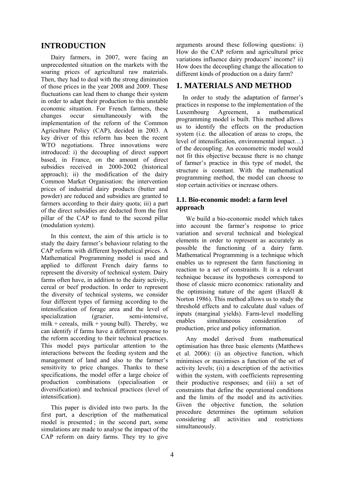#### **INTRODUCTION**

 Dairy farmers, in 2007, were facing an unprecedented situation on the markets with the soaring prices of agricultural raw materials. Then, they had to deal with the strong diminution of those prices in the year 2008 and 2009. These fluctuations can lead them to change their system in order to adapt their production to this unstable economic situation. For French farmers, these changes occur simultaneously with the implementation of the reform of the Common Agriculture Policy (CAP), decided in 2003. A key driver of this reform has been the recent WTO negotiations. Three innovations were introduced: i) the decoupling of direct support based, in France, on the amount of direct subsidies received in 2000-2002 (historical approach); ii) the modification of the dairy Common Market Organisation: the intervention prices of industrial dairy products (butter and powder) are reduced and subsidies are granted to farmers according to their dairy quota; iii) a part of the direct subsidies are deducted from the first pillar of the CAP to fund to the second pillar (modulation system).

 In this context, the aim of this article is to study the dairy farmer's behaviour relating to the CAP reform with different hypothetical prices. A Mathematical Programming model is used and applied to different French dairy farms to represent the diversity of technical system. Dairy farms often have, in addition to the dairy activity, cereal or beef production. In order to represent the diversity of technical systems, we consider four different types of farming according to the intensification of forage area and the level of specialization (grazier, semi-intensive, milk + cereals, milk + young bull). Thereby, we can identify if farms have a different response to the reform according to their technical practices. This model pays particular attention to the interactions between the feeding system and the management of land and also to the farmer's sensitivity to price changes. Thanks to these specifications, the model offer a large choice of production combinations (specialisation or diversification) and technical practices (level of intensification).

 This paper is divided into two parts. In the first part, a description of the mathematical model is presented ; in the second part, some simulations are made to analyse the impact of the CAP reform on dairy farms. They try to give

arguments around these following questions: i) How do the CAP reform and agricultural price variations influence dairy producers' income? ii) How does the decoupling change the allocation to different kinds of production on a dairy farm?

#### **1. MATERIALS AND METHOD**

In order to study the adaptation of farmer's practices in response to the implementation of the Luxembourg Agreement, a mathematical programming model is built. This method allows us to identify the effects on the production system (i.e. the allocation of areas to crops, the level of intensification, environmental impact…) of the decoupling. An econometric model would not fit this objective because there is no change of farmer's practice in this type of model, the structure is constant. With the mathematical programming method, the model can choose to stop certain activities or increase others.

#### **1.1. Bio-economic model: a farm level approach**

 We build a bio-economic model which takes into account the farmer's response to price variation and several technical and biological elements in order to represent as accurately as possible the functioning of a dairy farm. Mathematical Programming is a technique which enables us to represent the farm functioning in reaction to a set of constraints. It is a relevant technique because its hypotheses correspond to those of classic micro economics: rationality and the optimising nature of the agent (Hazell & Norton 1986). This method allows us to study the threshold effects and to calculate dual values of inputs (marginal yields). Farm-level modelling enables simultaneous consideration of production, price and policy information.

 Any model derived from mathematical optimisation has three basic elements (Matthews et al. 2006): (i) an objective function, which minimises or maximises a function of the set of activity levels; (ii) a description of the activities within the system, with coefficients representing their productive responses; and (iii) a set of constraints that define the operational conditions and the limits of the model and its activities. Given the objective function, the solution procedure determines the optimum solution considering all activities and restrictions simultaneously.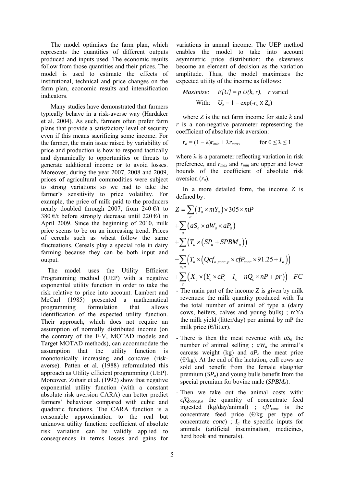The model optimises the farm plan, which represents the quantities of different outputs produced and inputs used. The economic results follow from those quantities and their prices. The model is used to estimate the effects of institutional, technical and price changes on the farm plan, economic results and intensification indicators.

 Many studies have demonstrated that farmers typically behave in a risk-averse way (Hardaker et al. 2004). As such, farmers often prefer farm plans that provide a satisfactory level of security even if this means sacrificing some income. For the farmer, the main issue raised by variability of price and production is how to respond tactically and dynamically to opportunities or threats to generate additional income or to avoid losses. Moreover, during the year 2007, 2008 and 2009, prices of agricultural commodities were subject to strong variations so we had to take the farmer's sensitivity to price volatility. For example, the price of milk paid to the producers nearly doubled through 2007, from 240  $\epsilon/t$  to 380 €/t before strongly decrease until 220 €/t in April 2009. Since the beginning of 2010, milk price seems to be on an increasing trend. Prices of cereals such as wheat follow the same fluctuations. Cereals play a special role in dairy farming because they can be both input and output.

The model uses the Utility Efficient Programming method (UEP) with a negative exponential utility function in order to take the risk relative to price into account. Lambert and McCarl (1985) presented a mathematical programming formulation that allows identification of the expected utility function. Their approach, which does not require an assumption of normally distributed income (on the contrary of the E-V, MOTAD models and Target MOTAD methods), can accommodate the assumption that the utility function is monotonically increasing and concave (riskaverse). Patten et al. (1988) reformulated this approach as Utility efficient programming (UEP). Moreover, Zuhair et al. (1992) show that negative exponential utility function (with a constant absolute risk aversion CARA) can better predict farmers' behaviour compared with cubic and quadratic functions. The CARA function is a reasonable approximation to the real but unknown utility function: coefficient of absolute risk variation can be validly applied to consequences in terms losses and gains for

variations in annual income. The UEP method enables the model to take into account asymmetric price distribution: the skewness become an element of decision as the variation amplitude. Thus, the model maximizes the expected utility of the income as follows:

$$
Maximize: \quad E[U] = p \ U(k, r), \quad r \text{ varied}
$$
\n
$$
\text{With:} \quad U_k = 1 - \exp(-r_a \times Z_k)
$$

where *Z* is the net farm income for state *k* and *r* is a non-negative parameter representing the coefficient of absolute risk aversion:

$$
r_a = (1 - \lambda)r_{min} + \lambda r_{max}, \qquad \text{for } 0 \le \lambda \le 1
$$

where  $\lambda$  is a parameter reflecting variation in risk preference, and *rmax* and *rmin* are upper and lower bounds of the coefficient of absolute risk aversion (*ra*).

In a more detailed form, the income *Z* is defined by:

$$
Z = \sum_{a} (T_a \times mY_a) \times 305 \times mP
$$
  
+
$$
\sum_{a} (aS_a \times aW_a \times aP_a)
$$
  
+
$$
\sum_{a} (T_a \times (SP_a + SPBM_a))
$$
  
-
$$
\sum_{a,p} (T_a \times (Qcf_{a,conc,p} \times cfP_{conc} \times 91.25 + I_a))
$$
  
+
$$
\sum_{c} (X_c \times (Y_c \times cP_c - I_c - nQ_c \times nP + pr)) - FC
$$

- The main part of the income Z is given by milk revenues: the milk quantity produced with Ta the total number of animal of type a (dairy cows, heifers, calves and young bulls) ; mYa the milk yield (litter/day) per animal by mP the milk price  $(E/litter)$ .
- There is then the meat revenue with  $aS_a$  the number of animal selling ;  $aW_a$  the animal's carcass weight (kg) and *aPa* the meat price  $(E/kg)$ . At the end of the lactation, cull cows are sold and benefit from the female slaughter premium (*SPa*) and young bulls benefit from the special premium for bovine male (*SPBM<sub>a</sub>*).
- Then we take out the animal costs with: *cfQconc,p,a* the quantity of concentrate feed ingested (kg/day/animal) ; *cfP<sub>conc</sub>* is the concentrate feed price  $(E/kg$  per type of concentrate *conc*) ;  $I_a$  the specific inputs for animals (artificial insemination, medicines, herd book and minerals).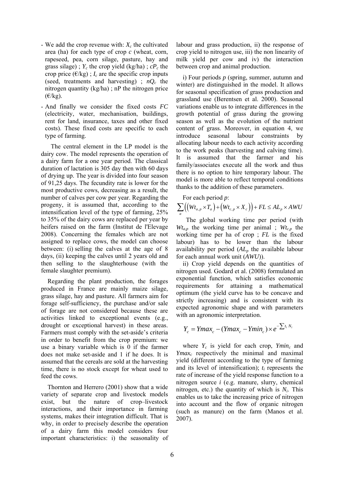- We add the crop revenue with:  $X_c$  the cultivated area (ha) for each type of crop *c* (wheat, corn, rapeseed, pea, corn silage, pasture, hay and grass silage) ;  $Y_c$  the crop yield (kg/ha) ;  $cP_c$  the crop price  $(\epsilon/kg)$ ; *I<sub>c</sub>* are the specific crop inputs (seed, treatments and harvesting) ;  $nQ_c$  the nitrogen quantity (kg/ha) ; nP the nitrogen price  $(\epsilon/kg)$ .
- And finally we consider the fixed costs *FC*  (electricity, water, mechanisation, buildings, rent for land, insurance, taxes and other fixed costs). These fixed costs are specific to each type of farming.

 The central element in the LP model is the dairy cow. The model represents the operation of a dairy farm for a one year period. The classical duration of lactation is 305 day then with 60 days of drying up. The year is divided into four season of 91,25 days. The fecundity rate is lower for the most productive cows, decreasing as a result, the number of calves per cow per year. Regarding the progeny, it is assumed that, according to the intensification level of the type of farming, 25% to 35% of the dairy cows are replaced per year by heifers raised on the farm (Institut de l'Elevage 2008). Concerning the females which are not assigned to replace cows, the model can choose between: (i) selling the calves at the age of 8 days, (ii) keeping the calves until 2 years old and then selling to the slaughterhouse (with the female slaughter premium).

Regarding the plant production, the forages produced in France are mainly maize silage, grass silage, hay and pasture. All farmers aim for forage self-sufficiency, the purchase and/or sale of forage are not considered because these are activities linked to exceptional events (e.g., drought or exceptional harvest) in these areas. Farmers must comply with the set-aside's criteria in order to benefit from the crop premium: we use a binary variable which is 0 if the farmer does not make set-aside and 1 if he does. It is assumed that the cereals are sold at the harvesting time, there is no stock except for wheat used to feed the cows.

Thornton and Herrero (2001) show that a wide variety of separate crop and livestock models exist, but the nature of crop–livestock interactions, and their importance in farming systems, makes their integration difficult. That is why, in order to precisely describe the operation of a dairy farm this model considers four important characteristics: i) the seasonality of

labour and grass production, ii) the response of crop yield to nitrogen use, iii) the non linearity of milk yield per cow and iv) the interaction between crop and animal production.

i) Four periods *p* (spring, summer, autumn and winter) are distinguished in the model. It allows for seasonal specification of grass production and grassland use (Berentsen et al. 2000). Seasonal variations enable us to integrate differences in the growth potential of grass during the growing season as well as the evolution of the nutrient content of grass. Moreover, in equation 4, we introduce seasonal labour constraints by allocating labour needs to each activity according to the work peaks (harvesting and calving time). It is assumed that the farmer and his family/associates execute all the work and thus there is no option to hire temporary labour. The model is more able to reflect temporal conditions thanks to the addition of these parameters.

For each period *p*:

$$
\sum_{a} ((Wt_{a,p} \times T_a) + (Wt_{c,p} \times X_c)) + FL \le AL_p \times AWU
$$

 The global working time per period (with  $W_{a,p}$  the working time per animal ;  $W_{c,p}$  the working time per ha of crop ; *FL* is the fixed labour) has to be lower than the labour availability per period (*ALp* the available labour for each annual work unit (*AWU*)).

ii) Crop yield depends on the quantities of nitrogen used. Godard et al. (2008) formulated an exponential function, which satisfies economic requirements for attaining a mathematical optimum (the yield curve has to be concave and strictly increasing) and is consistent with its expected agronomic shape and with parameters with an agronomic interpretation.

$$
Y_c = Ymax_c - (Ymax_c - Ymin_c) \times e^{-\sum t_i N_i}
$$

where  $Y_c$  is yield for each crop,  $Y<sub>min<sub>c</sub></sub>$  and *Ymaxc* respectively the minimal and maximal yield (different according to the type of farming and its level of intensification); *ti* represents the rate of increase of the yield response function to a nitrogen source *i* (e.g. manure, slurry, chemical nitrogen, etc.) the quantity of which is  $N_i$ . This enables us to take the increasing price of nitrogen into account and the flow of organic nitrogen (such as manure) on the farm (Manos et al. 2007).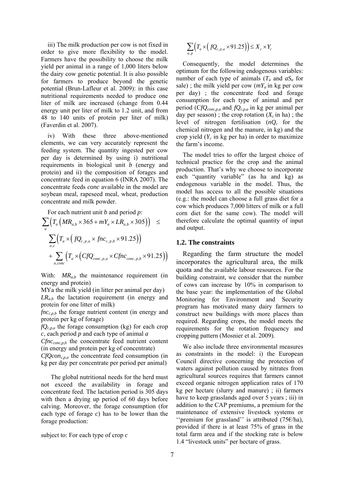iii) The milk production per cow is not fixed in order to give more flexibility to the model. Farmers have the possibility to choose the milk yield per animal in a range of 1,000 liters below the dairy cow genetic potential. It is also possible for farmers to produce beyond the genetic potential (Brun-Lafleur et al. 2009): in this case nutritional requirements needed to produce one liter of milk are increased (change from 0.44 energy unit per liter of milk to 1.2 unit, and from 48 to 140 units of protein per liter of milk) (Faverdin et al. 2007).

iv) With these three above-mentioned elements, we can very accurately represent the feeding system. The quantity ingested per cow per day is determined by using i) nutritional requirements in biological unit *b* (energy and protein) and ii) the composition of forages and concentrate feed in equation 6 (INRA 2007). The concentrate feeds *conc* available in the model are soybean meal, rapeseed meal, wheat, production concentrate and milk powder.

For each nutrient unit *b* and period *p:* 

$$
\sum_{a} \left( T_a \left( MR_{a,b} \times 365 + mY_a \times LR_{a,b} \times 305 \right) \right) \le
$$
  

$$
\sum_{a,c} \left( T_a \times \left( fQ_{c,p,a} \times fnc_{c,p,b} \times 91.25 \right) \right)
$$
  
+
$$
\sum_{a,conc} \left( T_a \times \left( CfQ_{conc,p,a} \times C fnc_{conc,p,b} \times 91.25 \right) \right)
$$

With:  $MR_{a,b}$  the maintenance requirement (in energy and protein)

MYa the milk yield (in litter per animal per day) *LRa,b* the lactation requirement (in energy and protein for one litter of milk)

 $fnc_{c,p,b}$  the forage nutrient content (in energy and protein per kg of forage)

*fQc,p,a* the forage consumption (kg) for each crop *c*, each period *p* and each type of animal *a*

*Cfncconc,p,b* the concentrate feed nutrient content (in energy and protein per kg of concentrate)

*CfQconc,p,a* the concentrate feed consumption (in kg per day per concentrate per period per animal)

 The global nutritional needs for the herd must not exceed the availability in forage and concentrate feed. The lactation period is 305 days with then a drying up period of 60 days before calving. Moreover, the forage consumption (for each type of forage *c*) has to be lower than the forage production:

subject to: For each type of crop *c* 

$$
\sum_{a,p} \left( T_a \times \left( fQ_{c,p,a} \times 91.25 \right) \right) \leq X_c \times Y_c
$$

Consequently, the model determines the optimum for the following endogenous variables: number of each type of animals  $(T_a$  and  $aS_a$  for sale); the milk yield per cow  $(mY_a)$  in kg per cow per day) ; the concentrate feed and forage consumption for each type of animal and per period (C*fQconc,p,a* and*, fQc,p,a* in kg per animal per day per season); the crop rotation  $(X_c \text{ in ha})$ ; the level of nitrogen fertilisation (*nQc* for the chemical nitrogen and the manure, in kg) and the crop yield  $(Y_c)$  in kg per ha) in order to maximize the farm's income.

The model tries to offer the largest choice of technical practice for the crop and the animal production. That's why we choose to incorporate each "quantity variable" (as ha and kg) as endogenous variable in the model. Thus, the model has access to all the possible situations (e.g.: the model can choose a full grass diet for a cow which produces 7,000 litters of milk or a full corn diet for the same cow). The model will therefore calculate the optimal quantity of input and output.

#### **1.2. The constraints**

Regarding the farm structure the model incorporates the agricultural area, the milk quota and the available labour resources. For the building constraint, we consider that the number of cows can increase by 10% in comparison to the base year: the implementation of the Global Monitoring for Environment and Security program has motivated many dairy farmers to construct new buildings with more places than required. Regarding crops, the model meets the requirements for the rotation frequency and cropping pattern (Mosnier et al. 2009).

We also include three environmental measures as constraints in the model: i) the European Council directive concerning the protection of waters against pollution caused by nitrates from agricultural sources requires that farmers cannot exceed organic nitrogen application rates of 170 kg per hectare (slurry and manure) ; ii) farmers have to keep grasslands aged over 5 years ; iii) in addition to the CAP premiums, a premium for the maintenance of extensive livestock systems or "premium for grassland" is attributed  $(75 \epsilon/ha)$ , provided if there is at least 75% of grass in the total farm area and if the stocking rate is below 1.4 "livestock units" per hectare of grass.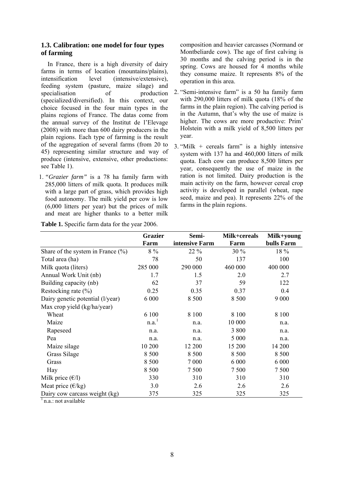#### **1.3. Calibration: one model for four types of farming**

In France, there is a high diversity of dairy farms in terms of location (mountains/plains), intensification level (intensive/extensive), feeding system (pasture, maize silage) and specialisation of production (specialized/diversified). In this context, our choice focused in the four main types in the plains regions of France. The datas come from the annual survey of the Institut de l'Elevage (2008) with more than 600 dairy producers in the plain regions. Each type of farming is the result of the aggregation of several farms (from 20 to 45) representing similar structure and way of produce (intensive, extensive, other productions: see [Table 1\)](#page-7-0).

1. *"Grazier farm"* is a 78 ha family farm with 285,000 litters of milk quota. It produces milk with a large part of grass, which provides high food autonomy. The milk yield per cow is low (6,000 litters per year) but the prices of milk and meat are higher thanks to a better milk composition and heavier carcasses (Normand or Montbeliarde cow). The age of first calving is 30 months and the calving period is in the spring. Cows are housed for 4 months while they consume maize. It represents 8% of the operation in this area.

- 2. "Semi-intensive farm" is a 50 ha family farm with 290,000 litters of milk quota (18% of the farms in the plain region). The calving period is in the Autumn, that's why the use of maize is higher. The cows are more productive: Prim' Holstein with a milk yield of 8,500 litters per year.
- 3. "Milk + cereals farm" is a highly intensive system with 137 ha and 460,000 litters of milk quota. Each cow can produce 8,500 litters per year, consequently the use of maize in the ration is not limited. Dairy production is the main activity on the farm, however cereal crop activity is developed in parallel (wheat, rape seed, maize and pea). It represents 22% of the farms in the plain regions.

<span id="page-7-0"></span>

|                                       | <b>Grazier</b>      | Semi-          | Milk+cereals | Milk+young |
|---------------------------------------|---------------------|----------------|--------------|------------|
|                                       | Farm                | intensive Farm | Farm         | bulls Farm |
| Share of the system in France $(\% )$ | $8\%$               | 22 %           | $30\%$       | 18 %       |
| Total area (ha)                       | 78                  | 50             | 137          | 100        |
| Milk quota (liters)                   | 285 000             | 290 000        | 460 000      | 400 000    |
| Annual Work Unit (nb)                 | 1.7                 | 1.5            | 2.0          | 2.7        |
| Building capacity (nb)                | 62                  | 37             | 59           | 122        |
| Restocking rate $(\% )$               | 0.25                | 0.35           | 0.37         | 0.4        |
| Dairy genetic potential (l/year)      | 6 0 0 0             | 8 500          | 8 500        | 9 0 0 0    |
| Max crop yield (kg/ha/year)           |                     |                |              |            |
| Wheat                                 | 6 100               | 8 1 0 0        | 8 1 0 0      | 8 1 0 0    |
| Maize                                 | $n.a.$ <sup>1</sup> | n.a.           | 10 000       | n.a.       |
| Rapeseed                              | n.a.                | n.a.           | 3 800        | n.a.       |
| Pea                                   | n.a.                | n.a.           | 5 0 0 0      | n.a.       |
| Maize silage                          | 10 200              | 12 200         | 15 200       | 14 200     |
| Grass Silage                          | 8 5 0 0             | 8 500          | 8 500        | 8 5 0 0    |
| Grass                                 | 8 500               | 7 0 0 0        | 6 0 0 0      | 6 0 0 0    |
| Hay                                   | 8 5 0 0             | 7 500          | 7 500        | 7 500      |
| Milk price $(\epsilon/1)$             | 330                 | 310            | 310          | 310        |
| Meat price $(\epsilon/kg)$            | 3.0                 | 2.6            | 2.6          | 2.6        |
| Dairy cow carcass weight (kg)         | 375                 | 325            | 325          | 325        |
| n.a.: not available                   |                     |                |              |            |

**Table 1.** Specific farm data for the year 2006.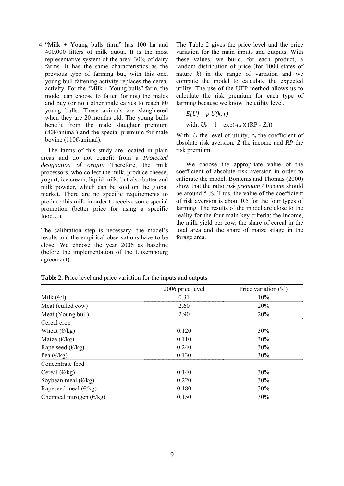4. "Milk + Young bulls farm" has 100 ha and 400,000 litters of milk quota. It is the most representative system of the area: 30% of dairy farms. It has the same characteristics as the previous type of farming but, with this one, young bull fattening activity replaces the cereal activity. For the "Milk  $+$  Young bulls" farm, the model can choose to fatten (or not) the males and buy (or not) other male calves to reach 80 young bulls. These animals are slaughtered when they are 20 months old. The young bulls benefit from the male slaughter premium  $(80)$  (80 $\epsilon$ /animal) and the special premium for male bovine (110€/animal).

The farms of this study are located in plain areas and do not benefit from a *[Protected](http://en.wikipedia.org/wiki/Protected_designation_of_origin)  [designation of origin](http://en.wikipedia.org/wiki/Protected_designation_of_origin)*. Therefore, the milk processors, who collect the milk, produce cheese, yogurt, ice cream, liquid milk, but also butter and milk powder, which can be sold on the global market. There are no specific requirements to produce this milk in order to receive some special promotion (better price for using a specific food…).

The calibration step is necessary: the model's results and the empirical observations have to be close. We choose the year 2006 as baseline (before the implementation of the Luxembourg agreement).

The Table 2 gives the price level and the price variation for the main inputs and outputs. With these values, we build, for each product, a random distribution of price (for 1000 states of nature *k*) in the range of variation and we compute the model to calculate the expected utility. The use of the UEP method allows us to calculate the risk premium for each type of farming because we know the utility level.

 $E[U] = p U(k, r)$ with:  $U_k = 1 - \exp(-r_a) \times (\text{RP} - Z_k)$ 

With: *U* the level of utility,  $r_a$  the coefficient of absolute risk aversion, *Z* the income and *RP* the risk premium.

 We choose the appropriate value of the coefficient of absolute risk aversion in order to calibrate the model. Bontems and Thomas (2000) show that the ratio *risk premium / Income* should be around 5 %. Thus, the value of the coefficient of risk aversion is about 0.5 for the four types of farming. The results of the model are close to the reality for the four main key criteria: the income, the milk yield per cow, the share of cereal in the total area and the share of maize silage in the forage area.

|                                   | 2006 price level | Price variation $(\%)$ |  |  |
|-----------------------------------|------------------|------------------------|--|--|
| Milk $(\epsilon/l)$               | 0.31             | 10%                    |  |  |
| Meat (culled cow)                 | 2.60             | 20%                    |  |  |
| Meat (Young bull)                 | 2.90             | 20%                    |  |  |
| Cereal crop                       |                  |                        |  |  |
| Wheat $(\epsilon/kg)$             | 0.120            | 30%                    |  |  |
| Maize $(\epsilon/kg)$             | 0.110            | 30%                    |  |  |
| Rape seed $(\epsilon/kg)$         | 0.240            | 30%                    |  |  |
| Pea $(\epsilon/kg)$               | 0.130            | 30%                    |  |  |
| Concentrate feed                  |                  |                        |  |  |
| Cereal $(\epsilon/kg)$            | 0.140            | 30%                    |  |  |
| Soybean meal $(\epsilon/kg)$      | 0.220            | 30%                    |  |  |
| Rapeseed meal $(\epsilon/kg)$     | 0.180            | 30%                    |  |  |
| Chemical nitrogen $(\epsilon/kg)$ | 0.150            | 30%                    |  |  |

**Table 2.** Price level and price variation for the inputs and outputs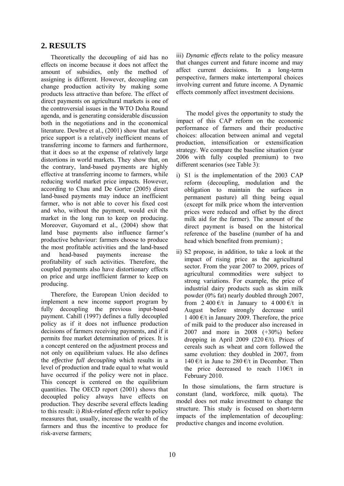#### **2. RESULTS**

 Theoretically the decoupling of aid has no effects on income because it does not affect the amount of subsidies, only the method of assigning is different. However, decoupling can change production activity by making some products less attractive than before. The effect of direct payments on agricultural markets is one of the controversial issues in the WTO Doha Round agenda, and is generating considerable discussion both in the negotiations and in the economical literature. Dewbre et al., (2001) show that market price support is a relatively inefficient means of transferring income to farmers and furthermore, that it does so at the expense of relatively large distortions in world markets. They show that, on the contrary, land-based payments are highly effective at transferring income to farmers, while reducing world market price impacts. However, according to Chau and De Gorter (2005) direct land-based payments may induce an inefficient farmer, who is not able to cover his fixed cost and who, without the payment, would exit the market in the long run to keep on producing. Moreover, Guyomard et al., (2004) show that land base payments also influence farmer's productive behaviour: farmers choose to produce the most profitable activities and the land-based and head-based payments increase the profitability of such activities. Therefore, the coupled payments also have distortionary effects on price and urge inefficient farmer to keep on producing.

 Therefore, the European Union decided to implement a new income support program by fully decoupling the previous input-based payment. Cahill (1997) defines a fully decoupled policy as if it does not influence production decisions of farmers receiving payments, and if it permits free market determination of prices. It is a concept centered on the adjustment process and not only on equilibrium values. He also defines the *effective full decoupling* which results in a level of production and trade equal to what would have occurred if the policy were not in place. This concept is centered on the equilibrium quantities. The OECD report (2001) shows that decoupled policy always have effects on production. They describe several effects leading to this result: i) *Risk-related effects* refer to policy measures that, usually, increase the wealth of the farmers and thus the incentive to produce for risk-averse farmers;

iii) *Dynamic effects* relate to the policy measure that changes current and future income and may affect current decisions. In a long-term perspective, farmers make intertemporal choices involving current and future income. A Dynamic effects commonly affect investment decisions.

 The model gives the opportunity to study the impact of this CAP reform on the economic performance of farmers and their productive choices: allocation between animal and vegetal production, intensification or extensification strategy. We compare the baseline situation (year 2006 with fully coupled premium) to two different scenarios (see [Table 3\)](#page-10-0):

- i) S1 is the implementation of the 2003 CAP reform (decoupling, modulation and the obligation to maintain the surfaces in permanent pasture) all thing being equal (except for milk price whom the intervention prices were reduced and offset by the direct milk aid for the farmer). The amount of the direct payment is based on the historical reference of the baseline (number of ha and head which benefited from premium) ;
- ii) S2 propose, in addition, to take a look at the impact of rising price as the agricultural sector. From the year 2007 to 2009, prices of agricultural commodities were subject to strong variations. For example, the price of industrial dairy products such as skim milk powder (0% fat) nearly doubled through 2007, from  $2\,400\,\text{E/t}$  in January to  $4\,000\,\text{E/t}$  in August before strongly decrease until 1 400 €/t in January 2009. Therefore, the price of milk paid to the producer also increased in 2007 and more in 2008 (+30%) before dropping in April 2009 (220  $\epsilon/t$ ). Prices of cereals such as wheat and corn followed the same evolution: they doubled in 2007, from 140 €/t in June to 280 €/t in December. Then the price decreased to reach 110€/t in February 2010.

In those simulations, the farm structure is constant (land, workforce, milk quota). The model does not make investment to change the structure. This study is focused on short-term impacts of the implementation of decoupling: productive changes and income evolution.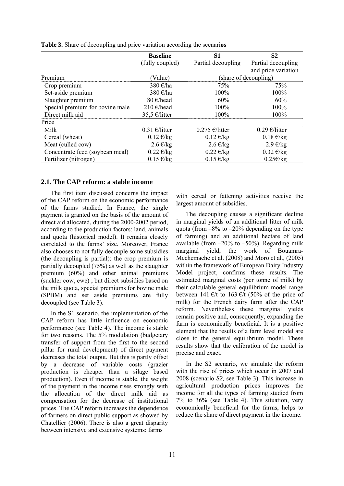|                                 | <b>Baseline</b>       | S <sub>1</sub>      | S <sub>2</sub>              |  |  |  |
|---------------------------------|-----------------------|---------------------|-----------------------------|--|--|--|
|                                 | (fully coupled)       | Partial decoupling  | Partial decoupling          |  |  |  |
|                                 |                       |                     | and price variation         |  |  |  |
| Premium                         | (Value)               |                     | (share of decoupling)       |  |  |  |
| Crop premium                    | 380 €/ha              | 75%                 | 75%                         |  |  |  |
| Set-aside premium               | 380 $\varepsilon$ /ha | 100%                | 100%                        |  |  |  |
| Slaughter premium               | 80 $\epsilon$ /head   | 60%                 | 60%                         |  |  |  |
| Special premium for bovine male | 210 €/head            | 100%                | 100%                        |  |  |  |
| Direct milk aid                 | 35,5 €/litter         | 100%                | 100%                        |  |  |  |
| Price                           |                       |                     |                             |  |  |  |
| Milk                            | $0.31 \in$ /litter    | $0.275 \in$ /litter | $0.29 \text{ } \in$ /litter |  |  |  |
| Cereal (wheat)                  | $0.12 \text{ E/kg}$   | $0.12 \text{ E/kg}$ | $0.18 \text{ E/kg}$         |  |  |  |
| Meat (culled cow)               | $2.6 \text{ E/kg}$    | $2.6 \text{ E/kg}$  | $2.9 \text{ E/kg}$          |  |  |  |
| Concentrate feed (soybean meal) | $0.22 \text{ E/kg}$   | $0.22 \text{ E/kg}$ | $0.32 \text{ E/kg}$         |  |  |  |
| Fertilizer (nitrogen)           | $0.15 \text{ E/kg}$   | $0.15 \text{ E/kg}$ | $0.25 \times k$ g           |  |  |  |

<span id="page-10-0"></span>**Table 3.** Share of decoupling and price variation according the scenari**os** 

#### **2.1. The CAP reform: a stable income**

 The first item discussed concerns the impact of the CAP reform on the economic performance of the farms studied. In France, the single payment is granted on the basis of the amount of direct aid allocated, during the 2000-2002 period, according to the production factors: land, animals and quota (historical model). It remains closely correlated to the farms' size. Moreover, France also chooses to not fully decouple some subsidies (the decoupling is partial): the crop premium is partially decoupled (75%) as well as the slaughter premium (60%) and other animal premiums (suckler cow, ewe) ; but direct subsidies based on the milk quota, special premiums for bovine male (SPBM) and set aside premiums are fully decoupled (see [Table 3\)](#page-10-0).

 In the S1 scenario, the implementation of the CAP reform has little influence on economic performance (see [Table 4](#page-11-0)). The income is stable for two reasons. The 5% modulation (budgetary transfer of support from the first to the second pillar for rural development) of direct payment decreases the total output. But this is partly offset by a decrease of variable costs (grazier production is cheaper than a silage based production). Even if income is stable, the weight of the payment in the income rises strongly with the allocation of the direct milk aid as compensation for the decrease of institutional prices. The CAP reform increases the dependence of farmers on direct public support as showed by Chatellier (2006). There is also a great disparity between intensive and extensive systems: farms

with cereal or fattening activities receive the largest amount of subsidies.

 The decoupling causes a significant decline in marginal yields of an additional litter of milk quota (from  $-8\%$  to  $-20\%$  depending on the type of farming) and an additional hectare of land available (from  $-20\%$  to  $-50\%$ ). Regarding milk marginal yield, the work of Bouamra-Mechemache et al. (2008) and Moro et al., (2005) within the framework of European Dairy Industry Model project, confirms these results. The estimated marginal costs (per tonne of milk) by their calculable general equilibrium model range between 141 €/t to 163 €/t (50% of the price of milk) for the French dairy farm after the CAP reform. Nevertheless these marginal yields remain positive and, consequently, expanding the farm is economically beneficial. It is a positive element that the results of a farm level model are close to the general equilibrium model. These results show that the calibration of the model is precise and exact.

 In the S2 scenario, we simulate the reform with the rise of prices which occur in 2007 and 2008 (scenario *S2,* see [Table 3](#page-10-0)). This increase in agricultural production prices improves the income for all the types of farming studied from 7% to 36% (see [Table 4\)](#page-11-0). This situation, very economically beneficial for the farms, helps to reduce the share of direct payment in the income.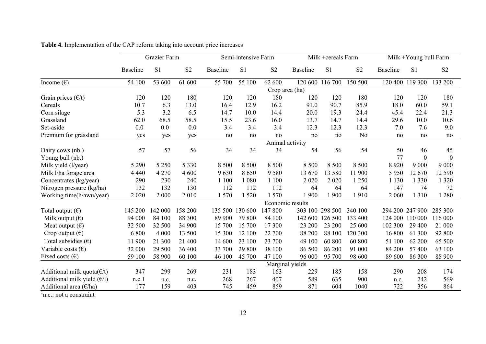|                                      | Grazier Farm    |                | Semi-intensive Farm |                 |                |                | Milk +cereals Farm |                 |                | Milk +Young bull Farm |                 |                  |
|--------------------------------------|-----------------|----------------|---------------------|-----------------|----------------|----------------|--------------------|-----------------|----------------|-----------------------|-----------------|------------------|
|                                      | <b>Baseline</b> | S <sub>1</sub> | S <sub>2</sub>      | <b>Baseline</b> | S <sub>1</sub> | S <sub>2</sub> | <b>Baseline</b>    | S <sub>1</sub>  | S <sub>2</sub> | <b>Baseline</b>       | S <sub>1</sub>  | S <sub>2</sub>   |
| Income $(\epsilon)$                  | 54 100          | 53 600         | 61 600              | 55 700          | 55 100         | 62 600         |                    | 120 600 116 700 | 150 500        |                       | 120 400 119 300 | 133 200          |
|                                      | Crop area (ha)  |                |                     |                 |                |                |                    |                 |                |                       |                 |                  |
| Grain prices $(\epsilon/t)$          | 120             | 120            | 180                 | 120             | 120            | 180            | 120                | 120             | 180            | 120                   | 120             | 180              |
| Cereals                              | 10.7            | 6.3            | 13.0                | 16.4            | 12.9           | 16.2           | 91.0               | 90.7            | 85.9           | 18.0                  | 60.0            | 59.1             |
| Corn silage                          | 5.3             | 3.2            | 6.5                 | 14.7            | 10.0           | 14.4           | 20.0               | 19.3            | 24.4           | 45.4                  | 22.4            | 21.3             |
| Grassland                            | 62.0            | 68.5           | 58.5                | 15.5            | 23.6           | 16.0           | 13.7               | 14.7            | 14.4           | 29.6                  | 10.0            | 10.6             |
| Set-aside                            | 0.0             | 0.0            | 0.0                 | 3.4             | 3.4            | 3.4            | 12.3               | 12.3            | 12.3           | 7.0                   | 7.6             | 9.0              |
| Premium for grassland                | yes             | yes            | yes                 | no              | no             | no             | no                 | no              | N <sub>0</sub> | no                    | no              | no               |
|                                      | Animal activity |                |                     |                 |                |                |                    |                 |                |                       |                 |                  |
| Dairy cows (nb.)                     | 57              | 57             | 56                  | 34              | 34             | 34             | 54                 | 56              | 54             | 50                    | 46              | 45               |
| Young bull (nb.)                     |                 |                |                     |                 |                |                |                    |                 |                | 77                    | $\mathbf{0}$    | $\boldsymbol{0}$ |
| Milk yield (l/year)                  | 5 2 9 0         | 5 2 5 0        | 5 3 3 0             | 8 500           | 8 5 0 0        | 8 500          | 8 500              | 8 5 0 0         | 8 500          | 8 9 20                | 9 0 0 0         | 9 0 0 0          |
| Milk l/ha forage area                | 4 4 4 0         | 4 2 7 0        | 4 600               | 9630            | 8650           | 9580           | 13 670             | 13 580          | 11 900         | 5 9 5 0               | 12 670          | 12 590           |
| Concentrates (kg/year)               | 290             | 230            | 240                 | 1 100           | 1 0 8 0        | 1 100          | 2 0 2 0            | 2 0 2 0         | 1 2 5 0        | 1 1 3 0               | 1 3 3 0         | 1 3 2 0          |
| Nitrogen pressure (kg/ha)            | 132             | 132            | 130                 | 112             | 112            | 112            | 64                 | 64              | 64             | 147                   | 74              | 72               |
| Working time(h/awu/year)             | 2 0 2 0         | 2 0 0 0        | 2010                | 1570            | 1 5 2 0        | 1570           | 1 900              | 1 900           | 1910           | 2 0 6 0               | 1 3 1 0         | 1 2 8 0          |
|                                      |                 |                |                     |                 |                |                | Economic results   |                 |                |                       |                 |                  |
| Total output $(\epsilon)$            | 145 200         | 142 000        | 158 200             | 135 500         | 130 600        | 147 800        |                    | 303 100 298 500 | 340 100        |                       | 294 200 247 900 | 285 300          |
| Milk output $(\epsilon)$             | 94 000          | 84 100         | 88 300              | 89 900          | 79 800         | 84 100         | 142 600            | 126 500         | 133 400        |                       | 124 000 110 000 | 116 000          |
| Meat output $(\epsilon)$             | 32 500          | 32 500         | 34 900              | 15 700          | 15 700         | 17 300         | 23 200             | 23 200          | 25 600         | 102 300               | 29 400          | 21 000           |
| Crop output $(\epsilon)$             | 6 800           | 4 0 0 0        | 13 500              | 15 300          | 12 100         | 22 700         | 88 200             | 88 100          | 120 300        | 16 800                | 61 300          | 92 800           |
| Total subsidies $(\epsilon)$         | 11 900          | 21 300         | 21 400              | 14 600          | 23 100         | 23 700         | 49 100             | 60 800          | 60 800         | 51 100                | 62 200          | 65 500           |
| Variable costs $(\epsilon)$          | 32 000          | 29 500         | 36 400              | 33 700          | 29 800         | 38 100         | 86 500             | 86 200          | 91 000         | 84 200                | 57400           | 63 100           |
| Fixed costs $(\epsilon)$             | 59 100          | 58 900         | 60 100              | 46 100          | 45 700         | 47 100         | 96 000             | 95 700          | 98 600         | 89 600                | 86 300          | 88 900           |
| Marginal yields                      |                 |                |                     |                 |                |                |                    |                 |                |                       |                 |                  |
| Additional milk quota $(\epsilon/t)$ | 347             | 299            | 269                 | 231             | 183            | 163            | 229                | 185             | 158            | 290                   | 208             | 174              |
| Additional milk yield $(E/I)$        | n.c.1           | n.c.           | n.c.                | 268             | 267            | 407            | 589                | 635             | 900            | n.c.                  | 242             | 569              |
| Additional area ( $\varepsilon$ /ha) | 177             | 159            | 403                 | 745             | 459            | 859            | 871                | 604             | 1040           | 722                   | 356             | 864              |

**Table 4.** Implementation of the CAP reform taking into account price increases

<span id="page-11-0"></span> $\ln c$ : not a constraint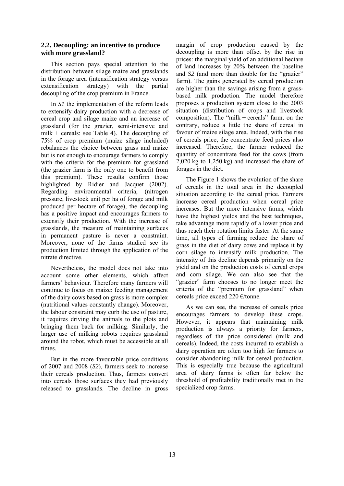#### **2.2. Decoupling: an incentive to produce with more grassland?**

 This section pays special attention to the distribution between silage maize and grasslands in the forage area (intensification strategy versus extensification strategy) with the partial decoupling of the crop premium in France.

 In *S1* the implementation of the reform leads to extensify dairy production with a decrease of cereal crop and silage maize and an increase of grassland (for the grazier, semi-intensive and milk + cereals: see [Table 4](#page-11-0)). The decoupling of 75% of crop premium (maize silage included) rebalances the choice between grass and maize but is not enough to encourage farmers to comply with the criteria for the premium for grassland (the grazier farm is the only one to benefit from this premium). These results confirm those highlighted by Ridier and Jacquet (2002). Regarding environmental criteria, (nitrogen pressure, livestock unit per ha of forage and milk produced per hectare of forage), the decoupling has a positive impact and encourages farmers to extensify their production. With the increase of grasslands, the measure of maintaining surfaces in permanent pasture is never a constraint. Moreover, none of the farms studied see its production limited through the application of the nitrate directive.

 Nevertheless, the model does not take into account some other elements, which affect farmers' behaviour. Therefore many farmers will continue to focus on maize: feeding management of the dairy cows based on grass is more complex (nutritional values constantly change). Moreover, the labour constraint may curb the use of pasture, it requires driving the animals to the plots and bringing them back for milking. Similarly, the larger use of milking robots requires grassland around the robot, which must be accessible at all times.

 But in the more favourable price conditions of 2007 and 2008 (*S2*), farmers seek to increase their cereals production. Thus, farmers convert into cereals those surfaces they had previously released to grasslands. The decline in gross

margin of crop production caused by the decoupling is more than offset by the rise in prices: the marginal yield of an additional hectare of land increases by 20% between the baseline and *S2* (and more than double for the "grazier" farm). The gains generated by cereal production are higher than the savings arising from a grassbased milk production. The model therefore proposes a production system close to the 2003 situation (distribution of crops and livestock composition). The "milk + cereals" farm, on the contrary, reduce a little the share of cereal in favour of maize silage area. Indeed, with the rise of cereals price, the concentrate feed prices also increased. Therefore, the farmer reduced the quantity of concentrate feed for the cows (from 2,020 kg to 1,250 kg) and increased the share of forages in the diet.

 The Figure 1 shows the evolution of the share of cereals in the total area in the decoupled situation according to the cereal price. Farmers increase cereal production when cereal price increases. But the more intensive farms, which have the highest yields and the best techniques, take advantage more rapidly of a lower price and thus reach their rotation limits faster. At the same time, all types of farming reduce the share of grass in the diet of dairy cows and replace it by corn silage to intensify milk production. The intensity of this decline depends primarily on the yield and on the production costs of cereal crops and corn silage. We can also see that the "grazier" farm chooses to no longer meet the criteria of the "premium for grassland" when cereals price exceed 220 €/tonne.

 As we can see, the increase of cereals price encourages farmers to develop these crops. However, it appears that maintaining milk production is always a priority for farmers, regardless of the price considered (milk and cereals). Indeed, the costs incurred to establish a dairy operation are often too high for farmers to consider abandoning milk for cereal production. This is especially true because the agricultural area of dairy farms is often far below the threshold of profitability traditionally met in the specialized crop farms.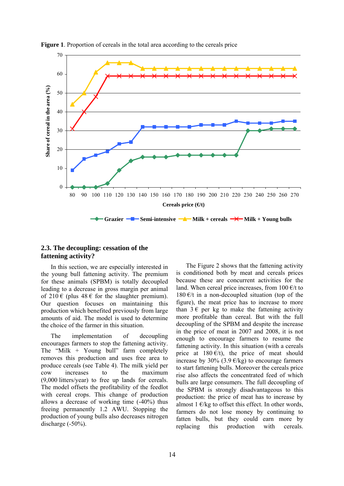

#### **Figure 1**. Proportion of cereals in the total area according to the cereals price

#### **2.3. The decoupling: cessation of the fattening activity?**

 In this section, we are especially interested in the young bull fattening activity. The premium for these animals (SPBM) is totally decoupled leading to a decrease in gross margin per animal of  $210 \in (plus 48 \in \text{for the slaughter premium}).$ Our question focuses on maintaining this production which benefited previously from large amounts of aid. The model is used to determine the choice of the farmer in this situation.

 The implementation of decoupling encourages farmers to stop the fattening activity. The "Milk + Young bull" farm completely removes this production and uses free area to produce cereals (see [Table 4\)](#page-11-0). The milk yield per cow increases to the maximum (9,000 litters/year) to free up lands for cereals. The model offsets the profitability of the feedlot with cereal crops. This change of production allows a decrease of working time (-40%) thus freeing permanently 1.2 AWU. Stopping the production of young bulls also decreases nitrogen discharge (-50%).

 The [Figure 2](#page-14-0) shows that the fattening activity is conditioned both by meat and cereals prices because these are concurrent activities for the land. When cereal price increases, from  $100 \text{ E/t}$  to 180 $\epsilon$ /t in a non-decoupled situation (top of the figure), the meat price has to increase to more than  $3 \epsilon$  per kg to make the fattening activity more profitable than cereal. But with the full decoupling of the SPBM and despite the increase in the price of meat in 2007 and 2008, it is not enough to encourage farmers to resume the fattening activity. In this situation (with a cereals price at  $180 \text{ } \infty$ /t), the price of meat should increase by 30% (3.9  $\epsilon$ /kg) to encourage farmers to start fattening bulls. Moreover the cereals price rise also affects the concentrated feed of which bulls are large consumers. The full decoupling of the SPBM is strongly disadvantageous to this production: the price of meat has to increase by almost 1  $\epsilon$ /kg to offset this effect. In other words, farmers do not lose money by continuing to fatten bulls, but they could earn more by replacing this production with cereals.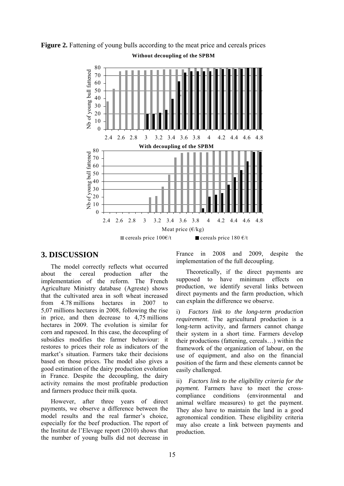

<span id="page-14-0"></span>**Figure 2.** Fattening of young bulls according to the meat price and cereals prices **Without decoupling of the SPBM**

#### **3. DISCUSSION**

 The model correctly reflects what occurred about the cereal production after the implementation of the reform. The French Agriculture Ministry database (Agreste) shows that the cultivated area in soft wheat increased from 4.78 millions hectares in 2007 to 5,07 millions hectares in 2008, following the rise in price, and then decrease to 4,75 millions hectares in 2009. The evolution is similar for corn and rapeseed. In this case, the decoupling of subsidies modifies the farmer behaviour: it restores to prices their role as indicators of the market's situation. Farmers take their decisions based on those prices. The model also gives a good estimation of the dairy production evolution in France. Despite the decoupling, the dairy activity remains the most profitable production and farmers produce their milk quota.

 However, after three years of direct payments, we observe a difference between the model results and the real farmer's choice, especially for the beef production. The report of the Institut de l'Elevage report (2010) shows that the number of young bulls did not decrease in

France in 2008 and 2009, despite the implementation of the full decoupling.

 Theoretically, if the direct payments are supposed to have minimum effects on production, we identify several links between direct payments and the farm production, which can explain the difference we observe.

i) *Factors link to the long-term production requirement*. The agricultural production is a long-term activity, and farmers cannot change their system in a short time. Farmers develop their productions (fattening, cereals…) within the framework of the organization of labour, on the use of equipment, and also on the financial position of the farm and these elements cannot be easily challenged.

ii) *Factors link to the eligibility criteria for the payment.* Farmers have to meet the crosscompliance conditions (environmental and animal welfare measures) to get the payment. They also have to maintain the land in a good agronomical condition. These eligibility criteria may also create a link between payments and production.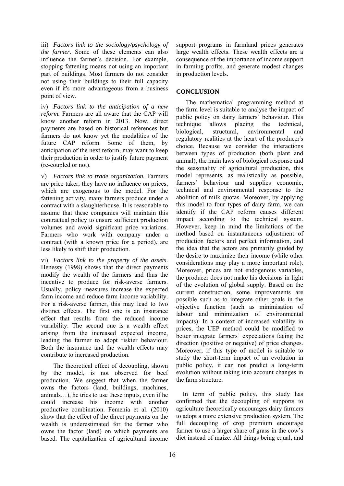iii) *Factors link to the sociology/psychology of the farmer.* Some of these elements can also influence the farmer's decision. For example, stopping fattening means not using an important part of buildings. Most farmers do not consider not using their buildings to their full capacity even if it's more advantageous from a business point of view.

iv) *Factors link to the anticipation of a new reform.* Farmers are all aware that the CAP will know another reform in 2013. Now, direct payments are based on historical references but farmers do not know yet the modalities of the future CAP reform. Some of them, by anticipation of the next reform, may want to keep their production in order to justify future payment (re-coupled or not).

v) *Factors link to trade organization.* Farmers are price taker, they have no influence on prices, which are exogenous to the model. For the fattening activity, many farmers produce under a contract with a slaughterhouse. It is reasonable to assume that these companies will maintain this contractual policy to ensure sufficient production volumes and avoid significant price variations. Farmers who work with company under a contract (with a known price for a period), are less likely to shift their production.

vi) *Factors link to the property of the assets*. Henessy (1998) shows that the direct payments modify the wealth of the farmers and thus the incentive to produce for risk-averse farmers. Usually, policy measures increase the expected farm income and reduce farm income variability. For a risk-averse farmer, this may lead to two distinct effects. The first one is an insurance effect that results from the reduced income variability. The second one is a wealth effect arising from the increased expected income, leading the farmer to adopt riskier behaviour. Both the insurance and the wealth effects may contribute to increased production.

 The theoretical effect of decoupling, shown by the model, is not observed for beef production. We suggest that when the farmer owns the factors (land, buildings, machines, animals…), he tries to use these inputs, even if he could increase his income with another productive combination. Femenia et al. (2010) show that the effect of the direct payments on the wealth is underestimated for the farmer who owns the factor (land) on which payments are based. The capitalization of agricultural income

support programs in farmland prices generates large wealth effects. These wealth effects are a consequence of the importance of income support in farming profits, and generate modest changes in production levels.

#### **CONCLUSION**

 The mathematical programming method at the farm level is suitable to analyse the impact of public policy on dairy farmers' behaviour. This technique allows placing the technical, biological, structural, environmental and regulatory realities at the heart of the producer's choice. Because we consider the interactions between types of production (both plant and animal), the main laws of biological response and the seasonality of agricultural production, this model represents, as realistically as possible, farmers' behaviour and supplies economic, technical and environmental response to the abolition of milk quotas. Moreover, by applying this model to four types of dairy farm, we can identify if the CAP reform causes different impact according to the technical system. However, keep in mind the limitations of the method based on instantaneous adjustment of production factors and perfect information, and the idea that the actors are primarily guided by the desire to maximize their income (while other considerations may play a more important role). Moreover, prices are not endogenous variables, the producer does not make his decisions in light of the evolution of global supply. Based on the current construction, some improvements are possible such as to integrate other goals in the objective function (such as minimisation of labour and minimization of environmental impacts). In a context of increased volatility in prices, the UEP method could be modified to better integrate farmers' expectations facing the direction (positive or negative) of price changes. Moreover, if this type of model is suitable to study the short-term impact of an evolution in public policy, it can not predict a long-term evolution without taking into account changes in the farm structure.

In term of public policy, this study has confirmed that the decoupling of supports to agriculture theoretically encourages dairy farmers to adopt a more extensive production system. The full decoupling of crop premium encourage farmer to use a larger share of grass in the cow's diet instead of maize. All things being equal, and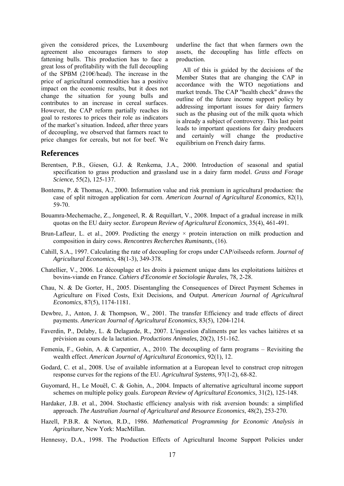given the considered prices, the Luxembourg agreement also encourages farmers to stop fattening bulls. This production has to face a great loss of profitability with the full decoupling of the SPBM (210€/head). The increase in the price of agricultural commodities has a positive impact on the economic results, but it does not change the situation for young bulls and contributes to an increase in cereal surfaces. However, the CAP reform partially reaches its goal to restores to prices their role as indicators of the market's situation. Indeed, after three years of decoupling, we observed that farmers react to price changes for cereals, but not for beef. We

underline the fact that when farmers own the assets, the decoupling has little effects on production.

All of this is guided by the decisions of the Member States that are changing the CAP in accordance with the WTO negotiations and market trends. The CAP "health check" draws the outline of the future income support policy by addressing important issues for dairy farmers such as the phasing out of the milk quota which is already a subject of controversy. This last point leads to important questions for dairy producers and certainly will change the productive equilibrium on French dairy farms.

#### **References**

- Berentsen, P.B., Giesen, G.J. & Renkema, J.A., 2000. Introduction of seasonal and spatial specification to grass production and grassland use in a dairy farm model. *Grass and Forage Science*, 55(2), 125-137.
- Bontems, P. & Thomas, A., 2000. Information value and risk premium in agricultural production: the case of split nitrogen application for corn. *American Journal of Agricultural Economics*, 82(1), 59-70.
- Bouamra-Mechemache, Z., Jongeneel, R. & Requillart, V., 2008. Impact of a gradual increase in milk quotas on the EU dairy sector. *European Review of Agricultural Economics*, 35(4), 461-491.
- Brun-Lafleur, L. et al., 2009. Predicting the energy  $\times$  protein interaction on milk production and composition in dairy cows. *Rencontres Recherches Ruminants*, (16).
- Cahill, S.A., 1997. Calculating the rate of decoupling for crops under CAP/oilseeds reform. *Journal of Agricultural Economics*, 48(1-3), 349-378.
- Chatellier, V., 2006. Le découplage et les droits à paiement unique dans les exploitations laitières et bovins-viande en France. *Cahiers d'Economie et Sociologie Rurales*, 78, 2-28.
- Chau, N. & De Gorter, H., 2005. Disentangling the Consequences of Direct Payment Schemes in Agriculture on Fixed Costs, Exit Decisions, and Output. *American Journal of Agricultural Economics*, 87(5), 1174-1181.
- Dewbre, J., Anton, J. & Thompson, W., 2001. The transfer Efficiency and trade effects of direct payments. *American Journal of Agricultural Economics*, 83(5), 1204-1214.
- Faverdin, P., Delaby, L. & Delagarde, R., 2007. L'ingestion d'aliments par les vaches laitières et sa prévision au cours de la lactation. *Productions Animales*, 20(2), 151-162.
- Femenia, F., Gohin, A. & Carpentier, A., 2010. The decoupling of farm programs Revisiting the wealth effect. *American Journal of Agricultural Economics*, 92(1), 12.
- Godard, C. et al., 2008. Use of available information at a European level to construct crop nitrogen response curves for the regions of the EU. *Agricultural Systems*, 97(1-2), 68-82.
- Guyomard, H., Le Mouël, C. & Gohin, A., 2004. Impacts of alternative agricultural income support schemes on multiple policy goals. *European Review of Agricultural Economics*, 31(2), 125-148.
- Hardaker, J.B. et al., 2004. Stochastic efficiency analysis with risk aversion bounds: a simplified approach. *The Australian Journal of Agricultural and Resource Economics*, 48(2), 253-270.
- Hazell, P.B.R. & Norton, R.D., 1986. *Mathematical Programming for Economic Analysis in Agriculture*, New York: MacMillan.
- Hennessy, D.A., 1998. The Production Effects of Agricultural Income Support Policies under